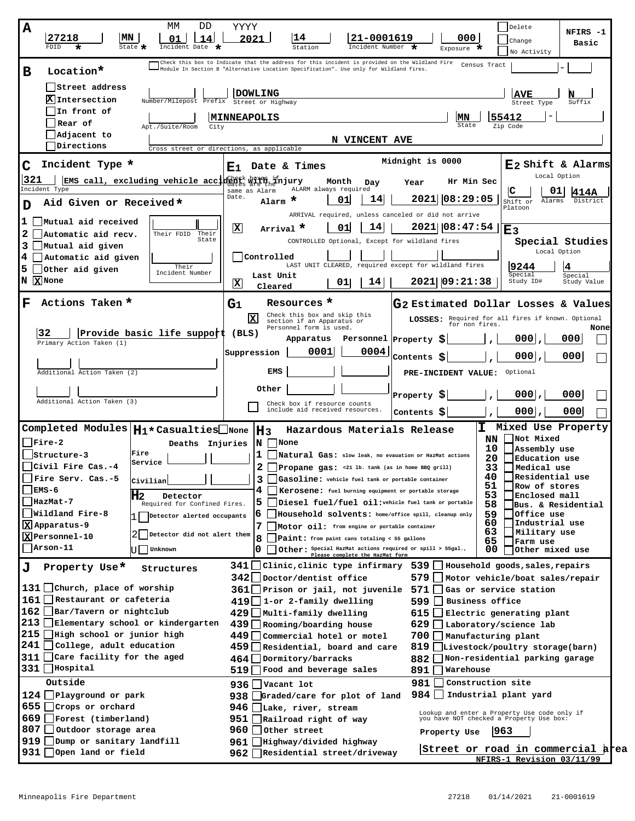| МM<br>DD<br>A<br> MN<br>27218<br>14<br>01<br>FDID<br>State $\clubsuit$<br>Incident Date                                                                                                                                                                                                                                                                                                                  | YYYY<br>Delete<br>NFIRS -1<br>2021<br>21-0001619<br>000<br>Change<br>Basic<br>Incident Number<br>Exposure *<br>Station<br>No Activity                                                                                                                                                                                                                                                                                                                                                                                                                                                                                                                                                                                                                                                                                                                                                                                                                                                    |
|----------------------------------------------------------------------------------------------------------------------------------------------------------------------------------------------------------------------------------------------------------------------------------------------------------------------------------------------------------------------------------------------------------|------------------------------------------------------------------------------------------------------------------------------------------------------------------------------------------------------------------------------------------------------------------------------------------------------------------------------------------------------------------------------------------------------------------------------------------------------------------------------------------------------------------------------------------------------------------------------------------------------------------------------------------------------------------------------------------------------------------------------------------------------------------------------------------------------------------------------------------------------------------------------------------------------------------------------------------------------------------------------------------|
| Location*<br>в                                                                                                                                                                                                                                                                                                                                                                                           | Check this box to Indicate that the address for this incident is provided on the Wildland Fire<br>Census Tract<br>-Module In Section B "Alternative Location Specification". Use only for Wildland fires.                                                                                                                                                                                                                                                                                                                                                                                                                                                                                                                                                                                                                                                                                                                                                                                |
| Street address<br>Intersection<br>Number/Milepost Prefix<br>In front of<br>Rear of<br>Apt./Suite/Room<br>City<br>Adjacent to<br>Directions<br>Cross street or directions, as applicable                                                                                                                                                                                                                  | <b>DOWLING</b><br>AVE<br>Street or Highway<br>Suffix<br>Street Type<br>55412<br><b> MINNEAPOLIS</b><br>lMN<br>State<br>Zip Code<br>N VINCENT AVE                                                                                                                                                                                                                                                                                                                                                                                                                                                                                                                                                                                                                                                                                                                                                                                                                                         |
| Incident Type *<br>C<br> 321<br>EMS call, excluding vehicle accident $\frac{1}{2}$ $\frac{1}{2}$ $\frac{1}{2}$ $\frac{1}{2}$ $\frac{1}{2}$ $\frac{1}{2}$ $\frac{1}{2}$ $\frac{1}{2}$ $\frac{1}{2}$ $\frac{1}{2}$ $\frac{1}{2}$ $\frac{1}{2}$ $\frac{1}{2}$ $\frac{1}{2}$ $\frac{1}{2}$ $\frac{1}{2}$ $\frac{1}{2}$ $\frac{1}{2}$ $\frac{$                                                                | Midnight is 0000<br>E <sub>2</sub> Shift & Alarms<br>Date & Times<br>Е1.<br>Local Option<br>Hr Min Sec<br>Month<br>Day<br>Year                                                                                                                                                                                                                                                                                                                                                                                                                                                                                                                                                                                                                                                                                                                                                                                                                                                           |
| Incident Type<br>Aid Given or Received*<br>ח<br>Mutual aid received<br>ı                                                                                                                                                                                                                                                                                                                                 | ALARM always required<br>С<br>01<br>same as Alarm<br>1414A<br>Date.<br> 08:29:05<br>2021<br>14<br>01<br>Alarm $\star$<br>District<br>Shift or<br>Alarms<br>Platoon<br>ARRIVAL required, unless canceled or did not arrive                                                                                                                                                                                                                                                                                                                                                                                                                                                                                                                                                                                                                                                                                                                                                                |
| 2<br>Automatic aid recv.<br>Their<br>Their FDID<br>State<br>3<br>Mutual aid given<br>41<br>Automatic aid given<br>Their<br>5.<br>Other aid given<br>Incident Number<br>$N \times$ None                                                                                                                                                                                                                   | x <br> 14 <br>2021  08:47:54 <br>01<br>Arrival *<br>E3<br>CONTROLLED Optional, Except for wildland fires<br>Special Studies<br>Local Option<br>Controlled<br>LAST UNIT CLEARED, required except for wildland fires<br>19244<br>Special<br>Special<br>Last Unit<br>2021 09:21:38<br>Study ID#<br>14<br>Study Value<br>X<br>01<br>Cleared                                                                                                                                                                                                                                                                                                                                                                                                                                                                                                                                                                                                                                                  |
| Actions Taken *<br>F                                                                                                                                                                                                                                                                                                                                                                                     | Resources *<br>G <sub>2</sub> Estimated Dollar Losses & Values<br>$G_1$<br>Check this box and skip this<br>lxl<br>LOSSES: Required for all fires if known. Optional                                                                                                                                                                                                                                                                                                                                                                                                                                                                                                                                                                                                                                                                                                                                                                                                                      |
| 32<br>Provide basic life support<br>Primary Action Taken (1)<br>Additional Action Taken (2)<br>Additional Action Taken (3)                                                                                                                                                                                                                                                                               | section if an Apparatus or<br>for non fires.<br>Personnel form is used.<br>None<br>(BLS)<br>0001<br>000<br>Personnel Property<br>-S<br>Apparatus<br>0004<br>0001<br>Suppression<br>0001<br>000<br>Contents S<br>EMS<br>Optional<br>PRE-INCIDENT VALUE:<br>Other<br>0001<br>000<br>Property \$<br>Check box if resource counts<br>include aid received resources.<br>000<br>0001<br>Contents $\boldsymbol{\mathsf{S}}$                                                                                                                                                                                                                                                                                                                                                                                                                                                                                                                                                                    |
| Completed Modules $\vert H1\star$ Casualties None<br>   Fire-2<br>Deaths Injuries<br>Fire<br>lstructure-3<br>Service<br>Civil Fire Cas.-4<br>Fire Serv. Cas.-5<br>Civilian<br>$\mathbf{EMS-6}$<br>H2<br>Detector<br> HazMat-7<br>Required for Confined Fires.<br>   Wildland Fire-8<br>Detector alerted occupants<br>Xapparatus-9<br>Detector did not alert them<br>XPersonnel-10<br>Arson-11<br>Unknown | I.<br>Mixed Use Property<br>H <sub>3</sub><br>Hazardous Materials Release<br>NN<br>Not Mixed<br>$\mathbf{N}$ None<br>10<br>Assembly use<br>1<br>Natural Gas: slow leak, no evauation or HazMat actions<br>20<br>Education use<br>2<br>33<br>Medical use<br>Propane gas: <21 lb. tank (as in home BBQ grill)<br>40<br>Residential use<br>3<br>Gasoline: vehicle fuel tank or portable container<br>51<br>Row of stores<br>4 I<br>Kerosene: fuel burning equipment or portable storage<br>53<br>Enclosed mall<br>5<br>Diesel fuel/fuel oil: vehicle fuel tank or portable<br>58<br>Bus. & Residential<br>59<br>6<br>Household solvents: home/office spill, cleanup only<br>Office use<br>60<br>Industrial use<br>7<br>  Motor oil: from engine or portable container<br>63<br>Military use<br>8<br>Paint: from paint cans totaling < 55 gallons<br>65<br>Farm use<br>Other: Special HazMat actions required or spill > 55gal.,<br>00<br>Other mixed use<br>Please complete the HazMat form |
| Property Use*<br>J<br>Structures<br>131   Church, place of worship<br>161   Restaurant or cafeteria<br>162 Bar/Tavern or nightclub<br>213   Elementary school or kindergarten<br>215   High school or junior high<br>$241$ $\bigcup$ College, adult education<br>$311$ $\Box$ Care facility for the aged<br>$331$   Hospital<br>Outside                                                                  | $341$   Clinic, clinic type infirmary 539   Household goods, sales, repairs<br>342   Doctor/dentist office<br>579   Motor vehicle/boat sales/repair<br>361   Prison or jail, not juvenile<br>571<br>Gas or service station<br>$419$   1-or 2-family dwelling<br>599   Business office<br>429   Multi-family dwelling<br>$615$ $\Box$ Electric generating plant<br>439   Rooming/boarding house<br>$629$ Laboratory/science lab<br>449  Commercial hotel or motel<br>700     Manufacturing plant<br>459 Residential, board and care<br>819   Livestock/poultry storage(barn)<br>882   Non-residential parking garage<br>$464$ Dormitory/barracks<br>519   Food and beverage sales<br>891   Warehouse<br>981<br>Construction site<br>936   Vacant lot                                                                                                                                                                                                                                      |
| $124$ Playground or park<br>$655$ Crops or orchard<br>669   Forest (timberland)<br>807   Outdoor storage area<br>919 Dump or sanitary landfill<br>931   Open land or field                                                                                                                                                                                                                               | 984   Industrial plant yard<br>938   Graded/care for plot of land<br>946 $\Box$ Lake, river, stream<br>Lookup and enter a Property Use code only if<br>you have NOT checked a Property Use box:<br>951<br>Railroad right of way<br>960   Other street<br>1963<br>Property Use<br>961   Highway/divided highway<br>Street or road in commercial area<br>962   Residential street/driveway<br>NFIRS-1 Revision 03/11/99                                                                                                                                                                                                                                                                                                                                                                                                                                                                                                                                                                    |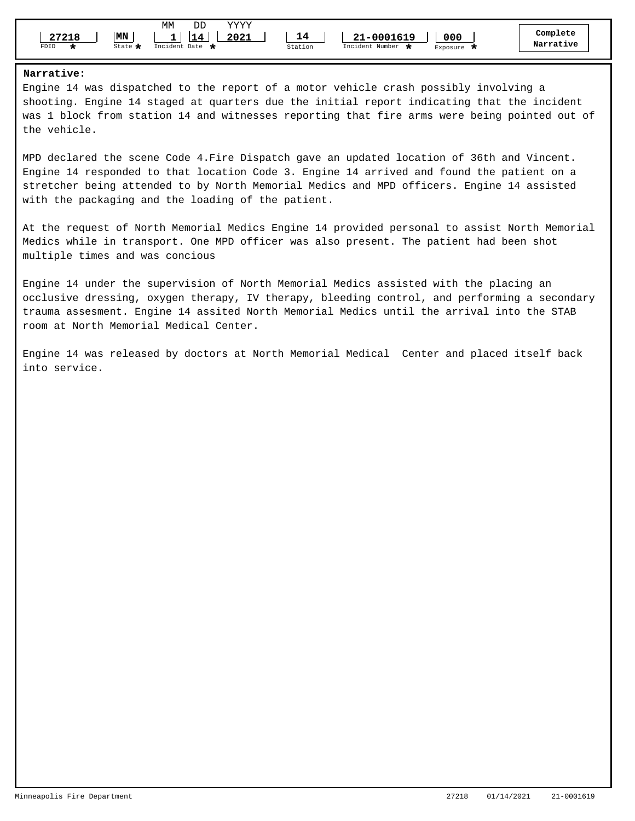| MΝ<br>27218<br>FDID<br>State $\mathbf{\mathbf{\mathbf{\omega}}}$ | ΜМ<br>vvvv<br>DD<br>2021<br>114<br>Incident Date $\blacksquare$ | 14<br>21-0001619<br>Incident Number L<br>Station | 000<br>Exposure | Complete<br>Narrative |
|------------------------------------------------------------------|-----------------------------------------------------------------|--------------------------------------------------|-----------------|-----------------------|
|------------------------------------------------------------------|-----------------------------------------------------------------|--------------------------------------------------|-----------------|-----------------------|

## **Narrative:**

Engine 14 was dispatched to the report of a motor vehicle crash possibly involving a shooting. Engine 14 staged at quarters due the initial report indicating that the incident was 1 block from station 14 and witnesses reporting that fire arms were being pointed out of the vehicle.

MPD declared the scene Code 4.Fire Dispatch gave an updated location of 36th and Vincent. Engine 14 responded to that location Code 3. Engine 14 arrived and found the patient on a stretcher being attended to by North Memorial Medics and MPD officers. Engine 14 assisted with the packaging and the loading of the patient.

At the request of North Memorial Medics Engine 14 provided personal to assist North Memorial Medics while in transport. One MPD officer was also present. The patient had been shot multiple times and was concious

Engine 14 under the supervision of North Memorial Medics assisted with the placing an occlusive dressing, oxygen therapy, IV therapy, bleeding control, and performing a secondary trauma assesment. Engine 14 assited North Memorial Medics until the arrival into the STAB room at North Memorial Medical Center.

Engine 14 was released by doctors at North Memorial Medical Center and placed itself back into service.